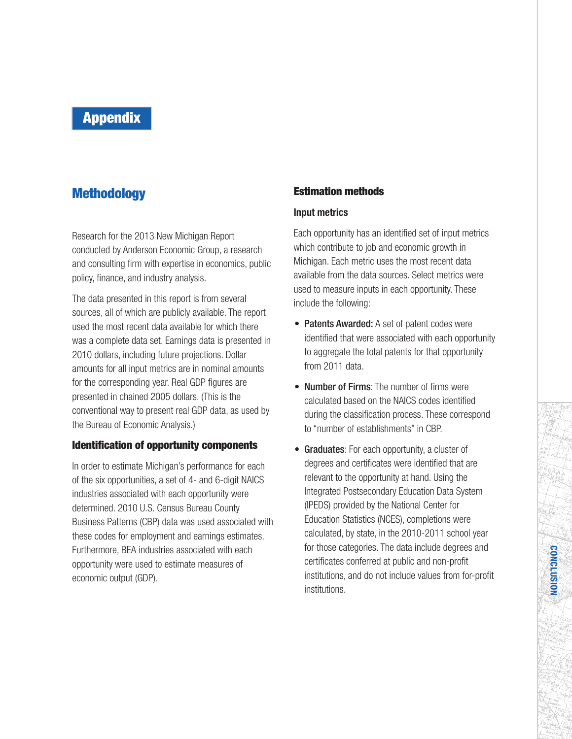# **Appendix**

## **Methodology**

Research for the 2013 New Michigan Report conducted by Anderson Economic Group, a research and consulting firm with expertise in economics, public policy, finance, and industry analysis.

The data presented in this report is from several sources, all of which are publicly available. The report used the most recent data available for which there was a complete data set. Earnings data is presented in 2010 dollars, including future projections. Dollar amounts for all input metrics are in nominal amounts for the corresponding year. Real GDP figures are presented in chained 2005 dollars. (This is the conventional way to present real GDP data, as used by the Bureau of Economic Analysis.)

### **Identification of opportunity components**

In order to estimate Michigan's performance for each of the six opportunities, a set of 4- and 6-digit NAICS industries associated with each opportunity were determined. 2010 U.S. Census Bureau County Business Patterns (CBP) data was used associated with these codes for employment and earnings estimates. Furthermore, BEA industries associated with each opportunity were used to estimate measures of economic output (GDP).

### **Estimation methods**

### **Input metrics**

Each opportunity has an identified set of input metrics which contribute to job and economic growth in Michigan. Each metric uses the most recent data available from the data sources. Select metrics were used to measure inputs in each opportunity. These include the following:

- Patents Awarded: A set of patent codes were identified that were associated with each opportunity to aggregate the total patents for that opportunity from 2011 data.
- Number of Firms: The number of firms were calculated based on the NAICS codes identified during the classification process. These correspond to "number of establishments" in CBP.
- Graduates: For each opportunity, a cluster of degrees and certificates were identified that are relevant to the opportunity at hand. Using the Integrated Postsecondary Education Data System (IPEDS) provided by the National Center for Education Statistics (NCES), completions were calculated, by state, in the 2010-2011 school year for those categories. The data include degrees and certificates conferred at public and non-profit institutions, and do not include values from for-profit institutions.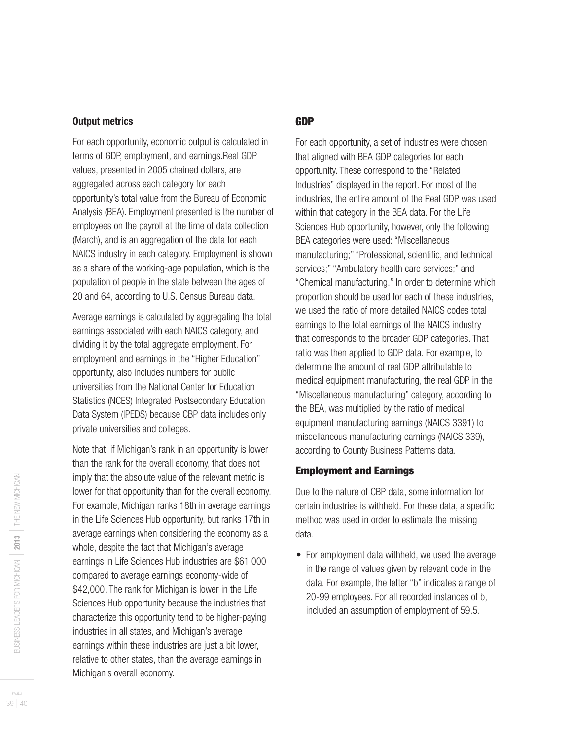#### **Output metrics**

For each opportunity, economic output is calculated in terms of GDP, employment, and earnings.Real GDP values, presented in 2005 chained dollars, are aggregated across each category for each opportunity's total value from the Bureau of Economic Analysis (BEA). Employment presented is the number of employees on the payroll at the time of data collection (March), and is an aggregation of the data for each NAICS industry in each category. Employment is shown as a share of the working-age population, which is the population of people in the state between the ages of 20 and 64, according to U.S. Census Bureau data.

Average earnings is calculated by aggregating the total earnings associated with each NAICS category, and dividing it by the total aggregate employment. For employment and earnings in the "Higher Education" opportunity, also includes numbers for public universities from the National Center for Education Statistics (NCES) Integrated Postsecondary Education Data System (IPEDS) because CBP data includes only private universities and colleges.

Note that, if Michigan's rank in an opportunity is lower than the rank for the overall economy, that does not imply that the absolute value of the relevant metric is lower for that opportunity than for the overall economy. For example, Michigan ranks 18th in average earnings in the Life Sciences Hub opportunity, but ranks 17th in average earnings when considering the economy as a whole, despite the fact that Michigan's average earnings in Life Sciences Hub industries are \$61,000 compared to average earnings economy-wide of \$42,000. The rank for Michigan is lower in the Life Sciences Hub opportunity because the industries that characterize this opportunity tend to be higher-paying industries in all states, and Michigan's average earnings within these industries are just a bit lower, relative to other states, than the average earnings in Michigan's overall economy.

### **GDP**

For each opportunity, a set of industries were chosen that aligned with BEA GDP categories for each opportunity. These correspond to the "Related Industries" displayed in the report. For most of the industries, the entire amount of the Real GDP was used within that category in the BEA data. For the Life Sciences Hub opportunity, however, only the following BEA categories were used:"Miscellaneous manufacturing;""Professional, scientific, and technical services;""Ambulatory health care services;" and "Chemical manufacturing." In order to determine which proportion should be used for each of these industries, we used the ratio of more detailed NAICS codes total earnings to the total earnings of the NAICS industry that corresponds to the broader GDP categories. That ratio was then applied to GDP data. For example, to determine the amount of real GDP attributable to medical equipment manufacturing, the real GDP in the "Miscellaneous manufacturing" category, according to the BEA, was multiplied by the ratio of medical equipment manufacturing earnings (NAICS 3391) to miscellaneous manufacturing earnings (NAICS 339), according to County Business Patterns data.

### **Employment and Earnings**

Due to the nature of CBP data, some information for certain industries is withheld. For these data, a specific method was used in order to estimate the missing data.

• For employment data withheld, we used the average in the range of values given by relevant code in the data. For example, the letter "b" indicates a range of 20-99 employees. For all recorded instances of b, included an assumption of employment of 59.5.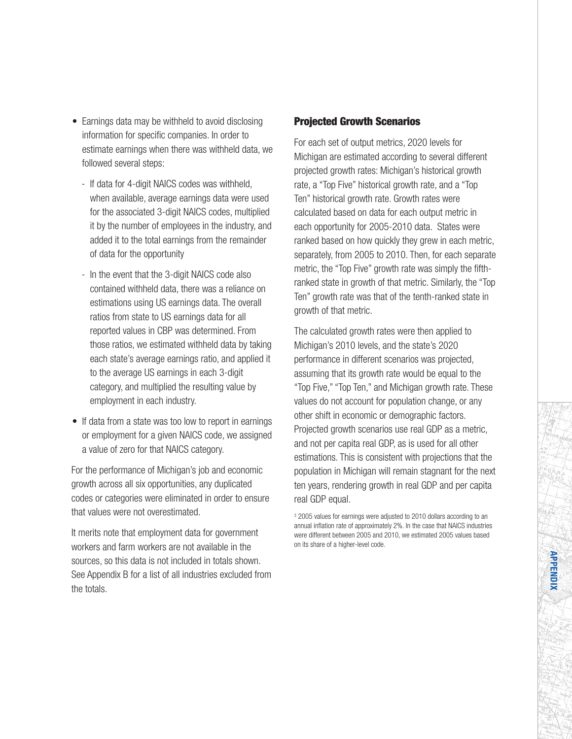- Earnings data may be withheld to avoid disclosing information for specific companies. In order to estimate earnings when there was withheld data, we followed several steps:
	- If data for 4-digit NAICS codes was withheld, when available, average earnings data were used for the associated 3-digit NAICS codes, multiplied it by the number of employees in the industry, and added it to the total earnings from the remainder of data for the opportunity
	- In the event that the 3-digit NAICS code also contained withheld data, there was a reliance on estimations using US earnings data. The overall ratios from state to US earnings data for all reported values in CBP was determined. From those ratios, we estimated withheld data by taking each state's average earnings ratio, and applied it to the average US earnings in each 3-digit category, and multiplied the resulting value by employment in each industry.
- If data from a state was too low to report in earnings or employment for a given NAICS code, we assigned a value of zero for that NAICS category.

For the performance of Michigan's job and economic growth across all six opportunities, any duplicated codes or categories were eliminated in order to ensure that values were not overestimated.

It merits note that employment data for government workers and farm workers are not available in the sources, so this data is not included in totals shown. See Appendix B for a list of all industries excluded from the totals.

### **Projected Growth Scenarios**

For each set of output metrics, 2020 levels for Michigan are estimated according to several different projected growth rates: Michigan's historical growth rate, a "Top Five" historical growth rate, and a "Top Ten" historical growth rate. Growth rates were calculated based on data for each output metric in each opportunity for 2005-2010 data. States were ranked based on how quickly they grew in each metric, separately, from 2005 to 2010. Then, for each separate metric, the "Top Five" growth rate was simply the fifthranked state in growth of that metric. Similarly, the "Top Ten" growth rate was that of the tenth-ranked state in growth of that metric.

The calculated growth rates were then applied to Michigan's 2010 levels, and the state's 2020 performance in different scenarios was projected, assuming that its growth rate would be equal to the "Top Five,""Top Ten," and Michigan growth rate. These values do not account for population change, or any other shift in economic or demographic factors. Projected growth scenarios use real GDP as a metric, and not per capita real GDP, as is used for all other estimations. This is consistent with projections that the population in Michigan will remain stagnant for the next ten years, rendering growth in real GDP and per capita real GDP equal.

<sup>3</sup> 2005 values for earnings were adjusted to 2010 dollars according to an annual inflation rate of approximately 2%. In the case that NAICS industries were different between 2005 and 2010, we estimated 2005 values based on its share of a higher-level code.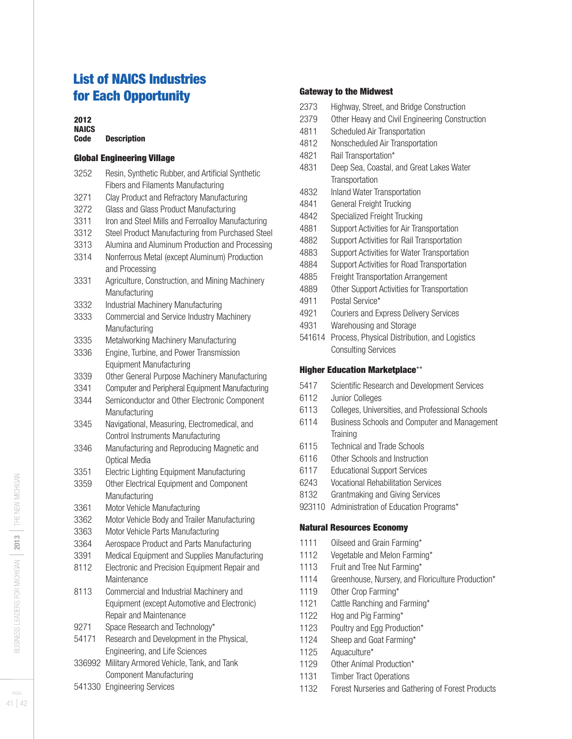## **List of NAICS Industries for Each Opportunity**

### 

#### **NAICS Code Description**

### **Global Engineering Village**

| 3252   | Resin, Synthetic Rubber, and Artificial Synthetic                |  |
|--------|------------------------------------------------------------------|--|
|        | <b>Fibers and Filaments Manufacturing</b>                        |  |
| 3271   | Clay Product and Refractory Manufacturing                        |  |
| 3272   | Glass and Glass Product Manufacturing                            |  |
| 3311   | Iron and Steel Mills and Ferroalloy Manufacturing                |  |
| 3312   | Steel Product Manufacturing from Purchased Steel                 |  |
| 3313   | Alumina and Aluminum Production and Processing                   |  |
| 3314   | Nonferrous Metal (except Aluminum) Production<br>and Processing  |  |
| 3331   | Agriculture, Construction, and Mining Machinery<br>Manufacturing |  |
| 3332   | Industrial Machinery Manufacturing                               |  |
| 3333   | Commercial and Service Industry Machinery<br>Manufacturing       |  |
| 3335   | Metalworking Machinery Manufacturing                             |  |
| 3336   | Engine, Turbine, and Power Transmission                          |  |
|        | <b>Equipment Manufacturing</b>                                   |  |
| 3339   | Other General Purpose Machinery Manufacturing                    |  |
| 3341   | Computer and Peripheral Equipment Manufacturing                  |  |
| 3344   | Semiconductor and Other Electronic Component                     |  |
|        | Manufacturing                                                    |  |
| 3345   | Navigational, Measuring, Electromedical, and                     |  |
|        | <b>Control Instruments Manufacturing</b>                         |  |
| 3346   | Manufacturing and Reproducing Magnetic and                       |  |
|        | <b>Optical Media</b>                                             |  |
| 3351   | <b>Electric Lighting Equipment Manufacturing</b>                 |  |
| 3359   | Other Electrical Equipment and Component                         |  |
|        | Manufacturing                                                    |  |
| 3361   | Motor Vehicle Manufacturing                                      |  |
| 3362   | Motor Vehicle Body and Trailer Manufacturing                     |  |
| 3363   | Motor Vehicle Parts Manufacturing                                |  |
| 3364   | Aerospace Product and Parts Manufacturing                        |  |
| 3391   | Medical Equipment and Supplies Manufacturing                     |  |
| 8112   | Electronic and Precision Equipment Repair and                    |  |
|        | Maintenance                                                      |  |
| 8113   | Commercial and Industrial Machinery and                          |  |
|        | Equipment (except Automotive and Electronic)                     |  |
|        | Repair and Maintenance                                           |  |
| 9271   | Space Research and Technology*                                   |  |
| 54171  | Research and Development in the Physical,                        |  |
|        | Engineering, and Life Sciences                                   |  |
| 336992 | Military Armored Vehicle, Tank, and Tank                         |  |
|        | Component Manufacturing                                          |  |

Engineering Services

### **Gateway to the Midwest**

- Highway, Street, and Bridge Construction
- Other Heavy and Civil Engineering Construction
- Scheduled Air Transportation
- Nonscheduled Air Transportation
- Rail Transportation\*
- Deep Sea, Coastal, and Great Lakes Water **Transportation**
- Inland Water Transportation
- General Freight Trucking
- Specialized Freight Trucking
- Support Activities for Air Transportation
- Support Activities for Rail Transportation
- Support Activities for Water Transportation
- Support Activities for Road Transportation
- Freight Transportation Arrangement
- Other Support Activities for Transportation
- Postal Service\*
- Couriers and Express Delivery Services
- Warehousing and Storage
- Process, Physical Distribution, and Logistics Consulting Services

### Higher Education Marketplace\*\*

- Scientific Research and Development Services
- Junior Colleges
- Colleges, Universities, and Professional Schools
- Business Schools and Computer and Management **Training**
- Technical and Trade Schools
- Other Schools and Instruction
- Educational Support Services
- Vocational Rehabilitation Services
- Grantmaking and Giving Services
- 923110 Administration of Education Programs\*

### **Natural Resources Economy**

- 1111 Oilseed and Grain Farming\*
- Vegetable and Melon Farming\*
- 1113 Fruit and Tree Nut Farming\*
- 1114 Greenhouse, Nursery, and Floriculture Production\*
- 1119 Other Crop Farming\*
- 1121 Cattle Ranching and Farming\*
- 1122 Hog and Pig Farming\*
- 1123 Poultry and Egg Production\*
- Sheep and Goat Farming\*
- Aquaculture\*
- 1129 Other Animal Production\*
- Timber Tract Operations
- Forest Nurseries and Gathering of Forest Products